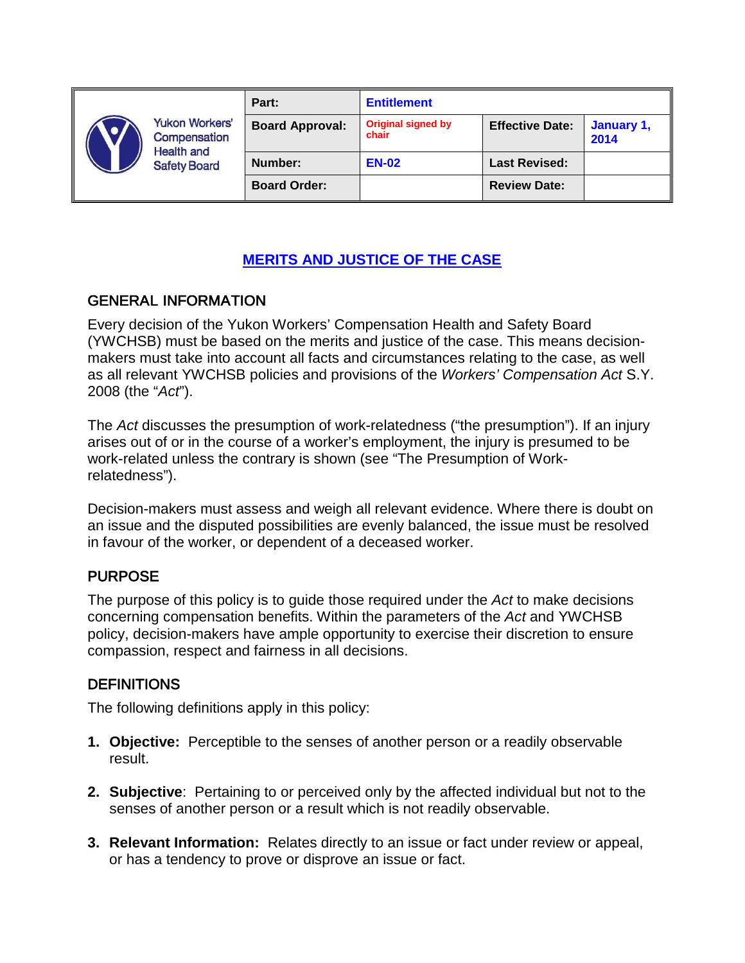|  | <b>Yukon Workers'</b><br>Compensation<br><b>Health and</b><br><b>Safety Board</b> | Part:                  | <b>Entitlement</b>                 |                        |                    |
|--|-----------------------------------------------------------------------------------|------------------------|------------------------------------|------------------------|--------------------|
|  |                                                                                   | <b>Board Approval:</b> | <b>Original signed by</b><br>chair | <b>Effective Date:</b> | January 1,<br>2014 |
|  |                                                                                   | Number:                | <b>EN-02</b>                       | <b>Last Revised:</b>   |                    |
|  |                                                                                   | <b>Board Order:</b>    |                                    | <b>Review Date:</b>    |                    |

# **MERITS AND JUSTICE OF THE CASE**

## GENERAL INFORMATION

Every decision of the Yukon Workers' Compensation Health and Safety Board (YWCHSB) must be based on the merits and justice of the case. This means decisionmakers must take into account all facts and circumstances relating to the case, as well as all relevant YWCHSB policies and provisions of the *Workers' Compensation Act* S.Y. 2008 (the "*Act*").

The *Act* discusses the presumption of work-relatedness ("the presumption"). If an injury arises out of or in the course of a worker's employment, the injury is presumed to be work-related unless the contrary is shown (see "The Presumption of Workrelatedness").

Decision-makers must assess and weigh all relevant evidence. Where there is doubt on an issue and the disputed possibilities are evenly balanced, the issue must be resolved in favour of the worker, or dependent of a deceased worker.

## PURPOSE

The purpose of this policy is to guide those required under the *Act* to make decisions concerning compensation benefits. Within the parameters of the *Act* and YWCHSB policy, decision-makers have ample opportunity to exercise their discretion to ensure compassion, respect and fairness in all decisions.

## **DEFINITIONS**

The following definitions apply in this policy:

- **1. Objective:** Perceptible to the senses of another person or a readily observable result.
- **2. Subjective**: Pertaining to or perceived only by the affected individual but not to the senses of another person or a result which is not readily observable.
- **3. Relevant Information:** Relates directly to an issue or fact under review or appeal, or has a tendency to prove or disprove an issue or fact.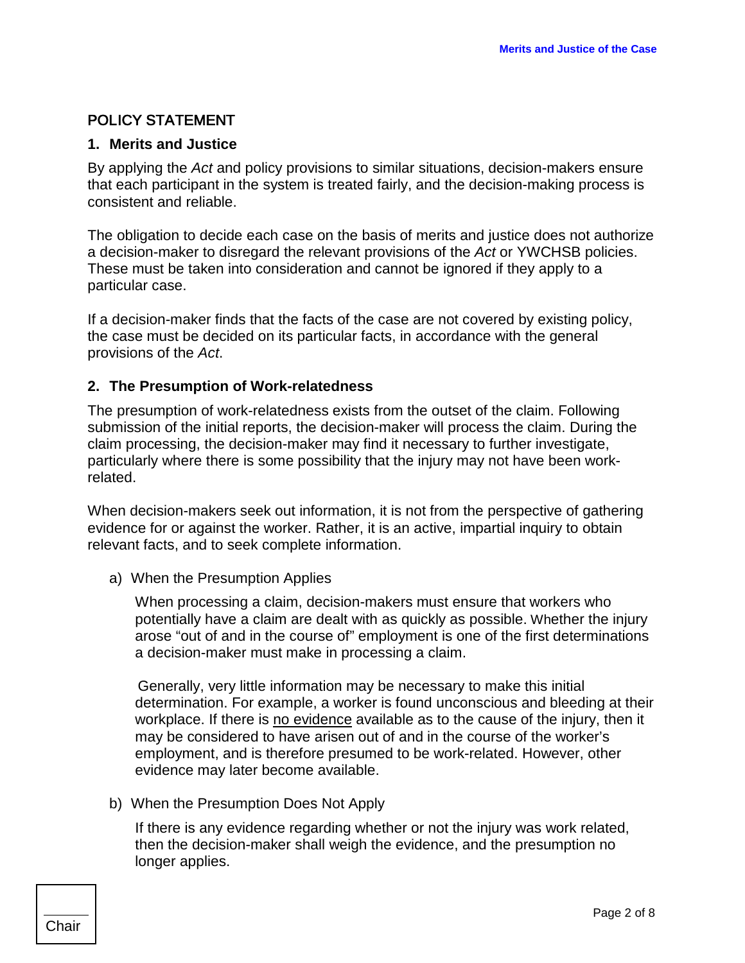## POLICY STATEMENT

#### **1. Merits and Justice**

By applying the *Act* and policy provisions to similar situations, decision-makers ensure that each participant in the system is treated fairly, and the decision-making process is consistent and reliable.

The obligation to decide each case on the basis of merits and justice does not authorize a decision-maker to disregard the relevant provisions of the *Act* or YWCHSB policies. These must be taken into consideration and cannot be ignored if they apply to a particular case.

If a decision-maker finds that the facts of the case are not covered by existing policy, the case must be decided on its particular facts, in accordance with the general provisions of the *Act*.

#### **2. The Presumption of Work-relatedness**

The presumption of work-relatedness exists from the outset of the claim. Following submission of the initial reports, the decision-maker will process the claim. During the claim processing, the decision-maker may find it necessary to further investigate, particularly where there is some possibility that the injury may not have been workrelated.

When decision-makers seek out information, it is not from the perspective of gathering evidence for or against the worker. Rather, it is an active, impartial inquiry to obtain relevant facts, and to seek complete information.

a) When the Presumption Applies

When processing a claim, decision-makers must ensure that workers who potentially have a claim are dealt with as quickly as possible. Whether the injury arose "out of and in the course of" employment is one of the first determinations a decision-maker must make in processing a claim.

 Generally, very little information may be necessary to make this initial determination. For example, a worker is found unconscious and bleeding at their workplace. If there is no evidence available as to the cause of the injury, then it may be considered to have arisen out of and in the course of the worker's employment, and is therefore presumed to be work-related. However, other evidence may later become available.

b) When the Presumption Does Not Apply

If there is any evidence regarding whether or not the injury was work related, then the decision-maker shall weigh the evidence, and the presumption no longer applies.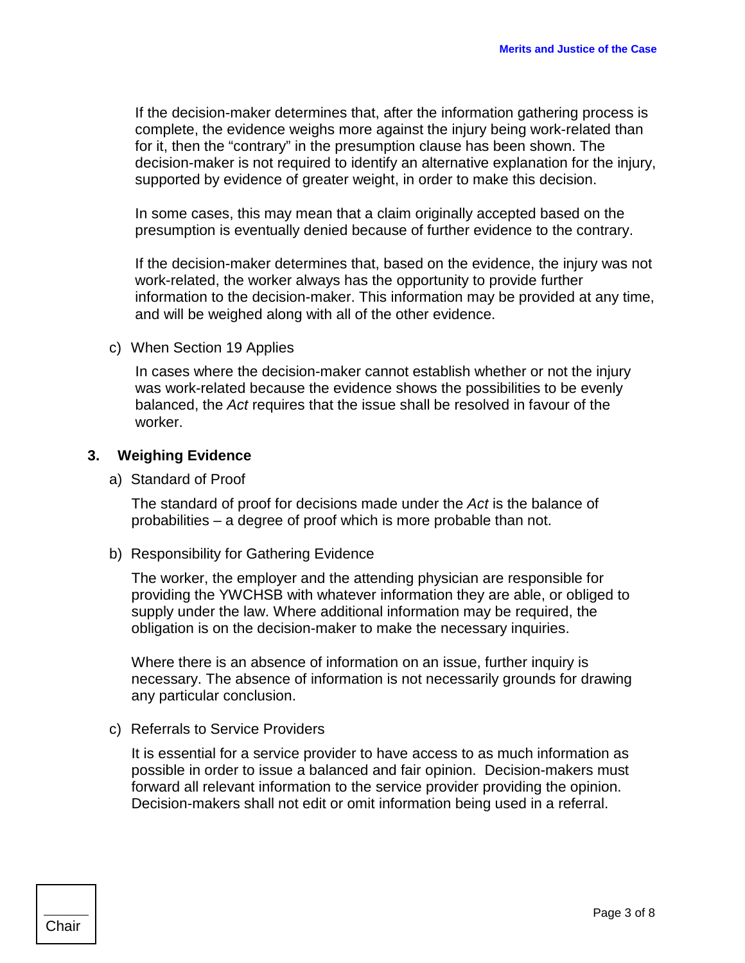If the decision-maker determines that, after the information gathering process is complete, the evidence weighs more against the injury being work-related than for it, then the "contrary" in the presumption clause has been shown. The decision-maker is not required to identify an alternative explanation for the injury, supported by evidence of greater weight, in order to make this decision.

In some cases, this may mean that a claim originally accepted based on the presumption is eventually denied because of further evidence to the contrary.

If the decision-maker determines that, based on the evidence, the injury was not work-related, the worker always has the opportunity to provide further information to the decision-maker. This information may be provided at any time, and will be weighed along with all of the other evidence.

c) When Section 19 Applies

In cases where the decision-maker cannot establish whether or not the injury was work-related because the evidence shows the possibilities to be evenly balanced, the *Act* requires that the issue shall be resolved in favour of the worker.

#### **3. Weighing Evidence**

a) Standard of Proof

The standard of proof for decisions made under the *Act* is the balance of probabilities – a degree of proof which is more probable than not.

b) Responsibility for Gathering Evidence

The worker, the employer and the attending physician are responsible for providing the YWCHSB with whatever information they are able, or obliged to supply under the law. Where additional information may be required, the obligation is on the decision-maker to make the necessary inquiries.

Where there is an absence of information on an issue, further inquiry is necessary. The absence of information is not necessarily grounds for drawing any particular conclusion.

c) Referrals to Service Providers

It is essential for a service provider to have access to as much information as possible in order to issue a balanced and fair opinion. Decision-makers must forward all relevant information to the service provider providing the opinion. Decision-makers shall not edit or omit information being used in a referral.

Chair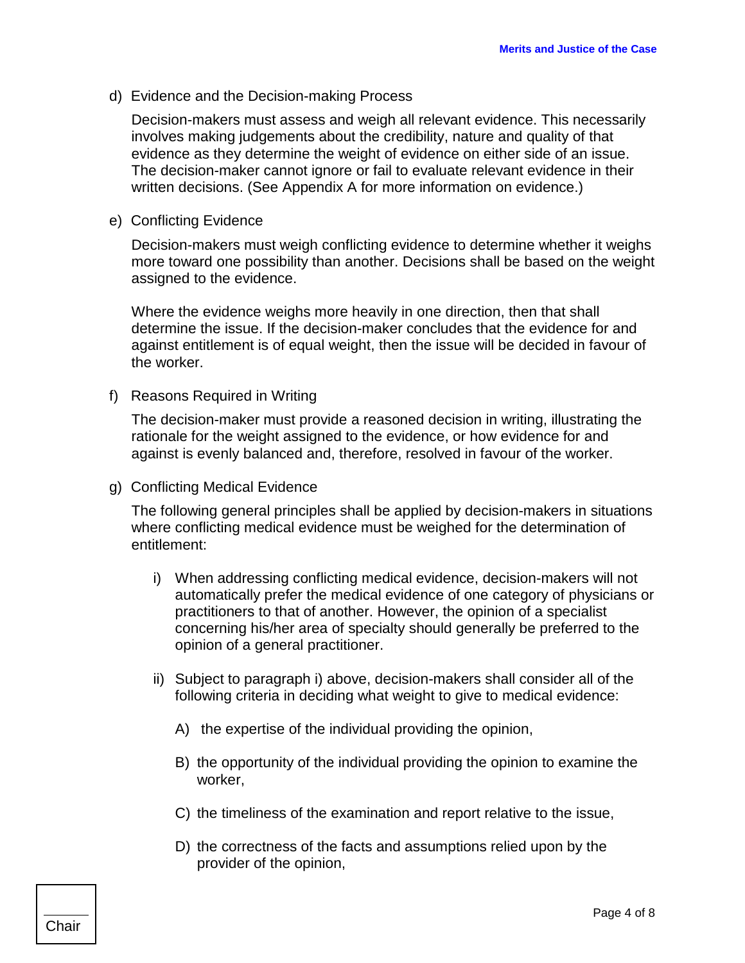d) Evidence and the Decision-making Process

Decision-makers must assess and weigh all relevant evidence. This necessarily involves making judgements about the credibility, nature and quality of that evidence as they determine the weight of evidence on either side of an issue. The decision-maker cannot ignore or fail to evaluate relevant evidence in their written decisions. (See Appendix A for more information on evidence.)

e) Conflicting Evidence

Decision-makers must weigh conflicting evidence to determine whether it weighs more toward one possibility than another. Decisions shall be based on the weight assigned to the evidence.

Where the evidence weighs more heavily in one direction, then that shall determine the issue. If the decision-maker concludes that the evidence for and against entitlement is of equal weight, then the issue will be decided in favour of the worker.

f) Reasons Required in Writing

The decision-maker must provide a reasoned decision in writing, illustrating the rationale for the weight assigned to the evidence, or how evidence for and against is evenly balanced and, therefore, resolved in favour of the worker.

g) Conflicting Medical Evidence

The following general principles shall be applied by decision-makers in situations where conflicting medical evidence must be weighed for the determination of entitlement:

- i) When addressing conflicting medical evidence, decision-makers will not automatically prefer the medical evidence of one category of physicians or practitioners to that of another. However, the opinion of a specialist concerning his/her area of specialty should generally be preferred to the opinion of a general practitioner.
- ii) Subject to paragraph i) above, decision-makers shall consider all of the following criteria in deciding what weight to give to medical evidence:
	- A) the expertise of the individual providing the opinion,
	- B) the opportunity of the individual providing the opinion to examine the worker,
	- C) the timeliness of the examination and report relative to the issue,
	- D) the correctness of the facts and assumptions relied upon by the provider of the opinion,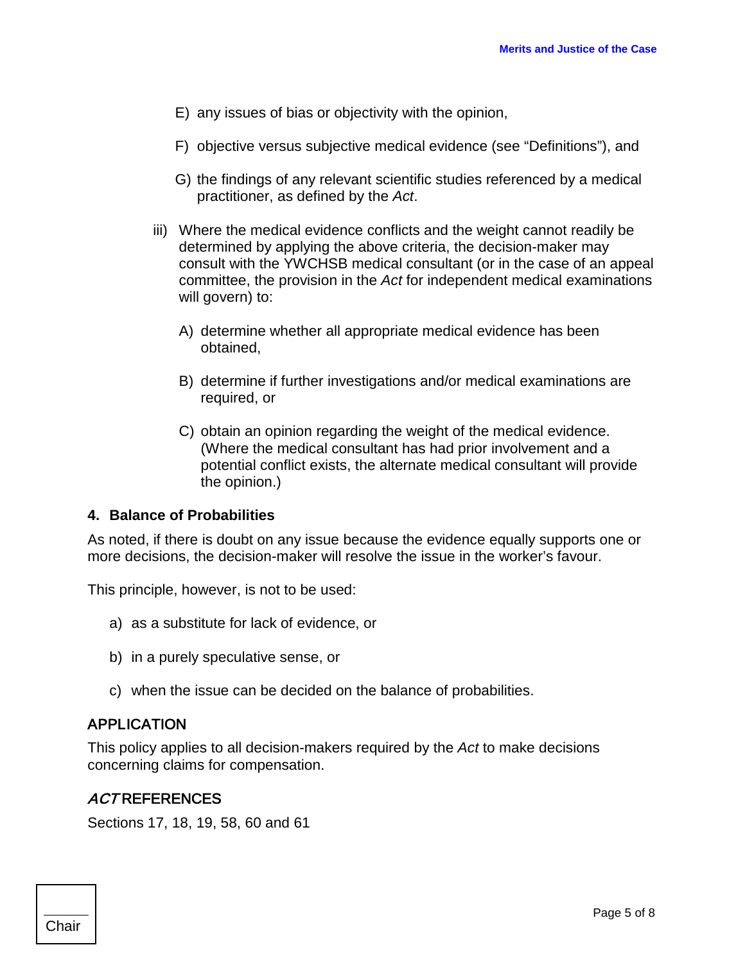- E) any issues of bias or objectivity with the opinion,
- F) objective versus subjective medical evidence (see "Definitions"), and
- G) the findings of any relevant scientific studies referenced by a medical practitioner, as defined by the *Act*.
- iii) Where the medical evidence conflicts and the weight cannot readily be determined by applying the above criteria, the decision-maker may consult with the YWCHSB medical consultant (or in the case of an appeal committee, the provision in the *Act* for independent medical examinations will govern) to:
	- A) determine whether all appropriate medical evidence has been obtained,
	- B) determine if further investigations and/or medical examinations are required, or
	- C) obtain an opinion regarding the weight of the medical evidence. (Where the medical consultant has had prior involvement and a potential conflict exists, the alternate medical consultant will provide the opinion.)

### **4. Balance of Probabilities**

As noted, if there is doubt on any issue because the evidence equally supports one or more decisions, the decision-maker will resolve the issue in the worker's favour.

This principle, however, is not to be used:

- a) as a substitute for lack of evidence, or
- b) in a purely speculative sense, or
- c) when the issue can be decided on the balance of probabilities.

### APPLICATION

This policy applies to all decision-makers required by the *Act* to make decisions concerning claims for compensation.

### ACT REFERENCES

Sections 17, 18, 19, 58, 60 and 61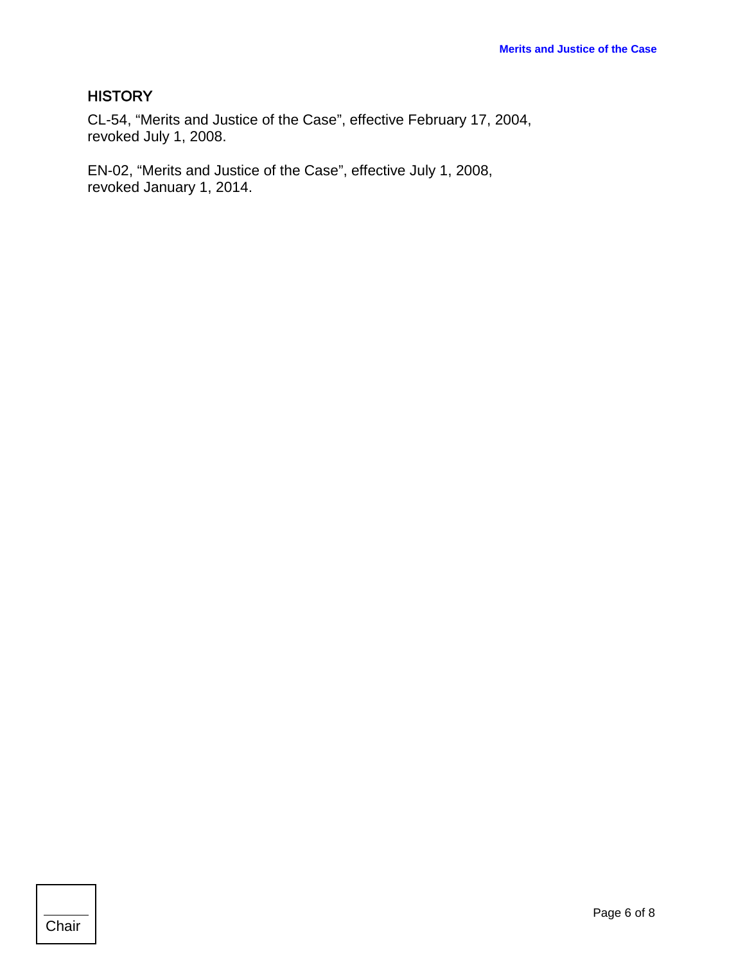# **HISTORY**

CL-54, "Merits and Justice of the Case", effective February 17, 2004, revoked July 1, 2008.

EN-02, "Merits and Justice of the Case", effective July 1, 2008, revoked January 1, 2014.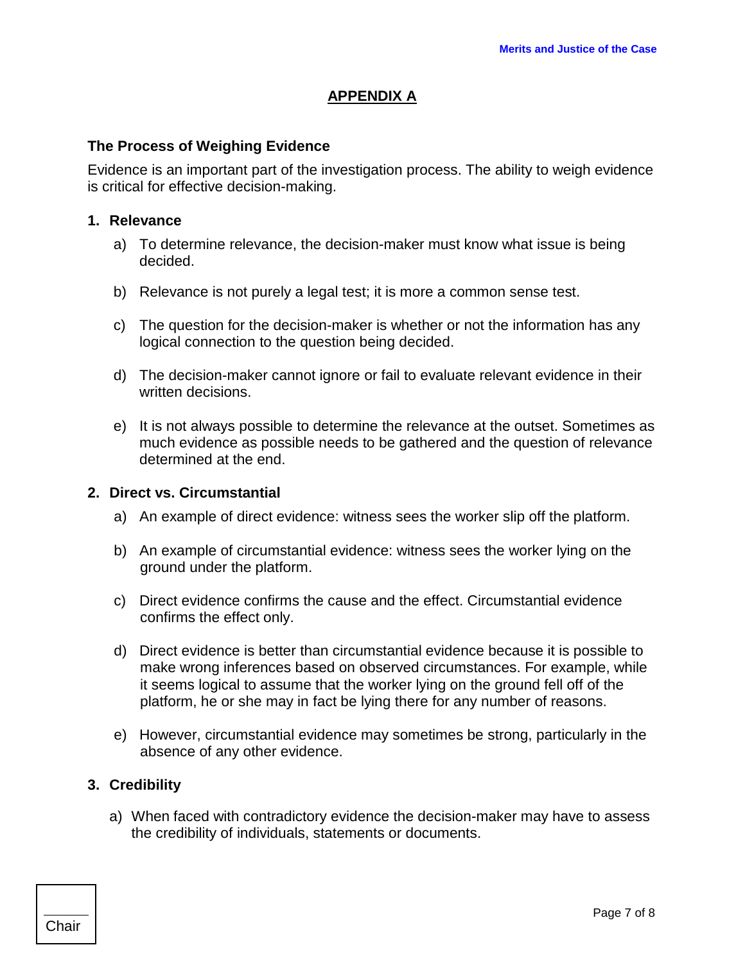## **APPENDIX A**

### **The Process of Weighing Evidence**

Evidence is an important part of the investigation process. The ability to weigh evidence is critical for effective decision-making.

#### **1. Relevance**

- a) To determine relevance, the decision-maker must know what issue is being decided.
- b) Relevance is not purely a legal test; it is more a common sense test.
- c) The question for the decision-maker is whether or not the information has any logical connection to the question being decided.
- d) The decision-maker cannot ignore or fail to evaluate relevant evidence in their written decisions.
- e) It is not always possible to determine the relevance at the outset. Sometimes as much evidence as possible needs to be gathered and the question of relevance determined at the end.

#### **2. Direct vs. Circumstantial**

- a) An example of direct evidence: witness sees the worker slip off the platform.
- b) An example of circumstantial evidence: witness sees the worker lying on the ground under the platform.
- c) Direct evidence confirms the cause and the effect. Circumstantial evidence confirms the effect only.
- d) Direct evidence is better than circumstantial evidence because it is possible to make wrong inferences based on observed circumstances. For example, while it seems logical to assume that the worker lying on the ground fell off of the platform, he or she may in fact be lying there for any number of reasons.
- e) However, circumstantial evidence may sometimes be strong, particularly in the absence of any other evidence.

### **3. Credibility**

a) When faced with contradictory evidence the decision-maker may have to assess the credibility of individuals, statements or documents.